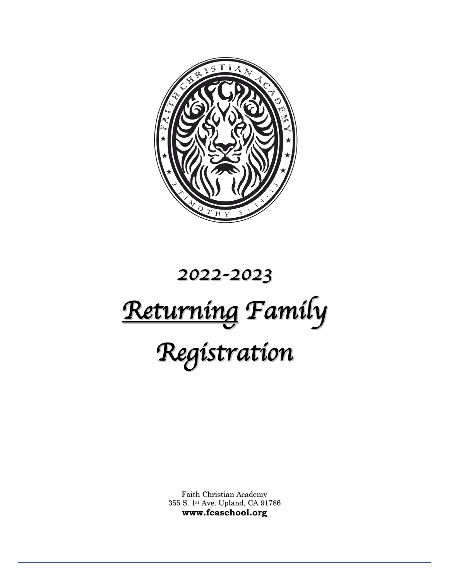

# *2022-2023 Returning Family Registration*

Faith Christian Academy 355 S. 1st Ave. Upland, CA 91786 **www.fcaschool.org**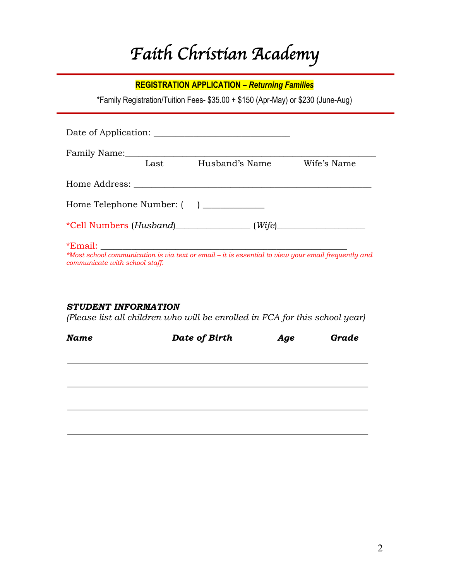# *Faith Christian Academy*

#### **REGISTRATION APPLICATION –** *Returning Families*

\*Family Registration/Tuition Fees- \$35.00 + \$150 (Apr-May) or \$230 (June-Aug)

|                                |      | Date of Application:                                                                                |             |  |
|--------------------------------|------|-----------------------------------------------------------------------------------------------------|-------------|--|
|                                | Last | Husband's Name                                                                                      | Wife's Name |  |
|                                |      |                                                                                                     |             |  |
|                                |      |                                                                                                     |             |  |
|                                |      |                                                                                                     |             |  |
| communicate with school staff. |      | *Most school communication is via text or email - it is essential to view your email frequently and |             |  |

#### *STUDENT INFORMATION*

*(Please list all children who will be enrolled in FCA for this school year)*

| Date of Birth | <u>Age</u> | Grade |
|---------------|------------|-------|
|               |            |       |
|               |            |       |
|               |            |       |
|               |            |       |
|               |            |       |
|               |            |       |
|               |            |       |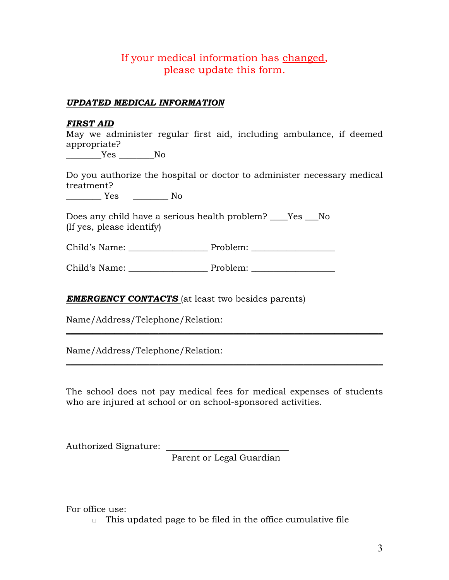#### If your medical information has changed, please update this form.

#### *UPDATED MEDICAL INFORMATION*

#### *FIRST AID*

May we administer regular first aid, including ambulance, if deemed appropriate?

 $Yes$  No

Do you authorize the hospital or doctor to administer necessary medical treatment?

\_\_\_\_\_\_\_\_ Yes \_\_\_\_\_\_\_\_ No

Does any child have a serious health problem? Fig. No (If yes, please identify)

Child's Name: \_\_\_\_\_\_\_\_\_\_\_\_\_\_\_\_\_\_ Problem: \_\_\_\_\_\_\_\_\_\_\_\_\_\_\_\_\_\_\_

Child's Name: The Problem:

*EMERGENCY CONTACTS* (at least two besides parents)

Name/Address/Telephone/Relation:

Name/Address/Telephone/Relation:

The school does not pay medical fees for medical expenses of students who are injured at school or on school-sponsored activities.

 $\_$  , and the set of the set of the set of the set of the set of the set of the set of the set of the set of the set of the set of the set of the set of the set of the set of the set of the set of the set of the set of th

 $\_$  , and the set of the set of the set of the set of the set of the set of the set of the set of the set of the set of the set of the set of the set of the set of the set of the set of the set of the set of the set of th

Authorized Signature:

Parent or Legal Guardian

For office use:

 $\Box$  This updated page to be filed in the office cumulative file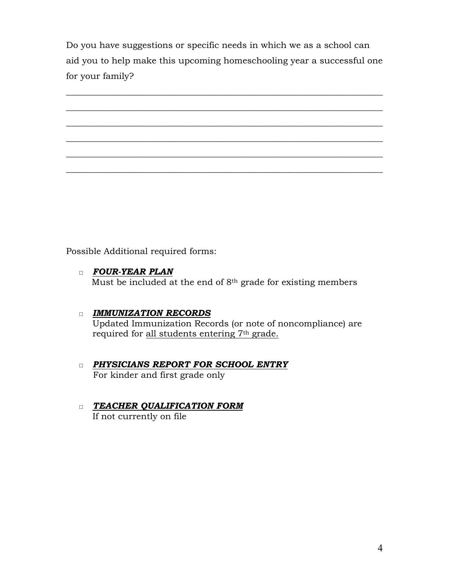Do you have suggestions or specific needs in which we as a school can aid you to help make this upcoming homeschooling year a successful one for your family?



Possible Additional required forms:

- □ *FOUR-YEAR PLAN* Must be included at the end of 8<sup>th</sup> grade for existing members
- □ *IMMUNIZATION RECORDS* Updated Immunization Records (or note of noncompliance) are required for all students entering 7th grade.
- □ *PHYSICIANS REPORT FOR SCHOOL ENTRY* For kinder and first grade only
- □ *TEACHER QUALIFICATION FORM* If not currently on file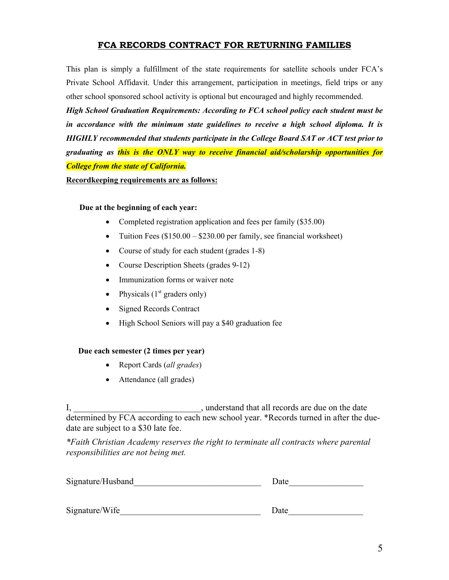#### **FCA RECORDS CONTRACT FOR RETURNING FAMILIES**

This plan is simply a fulfillment of the state requirements for satellite schools under FCA's Private School Affidavit. Under this arrangement, participation in meetings, field trips or any other school sponsored school activity is optional but encouraged and highly recommended.

*High School Graduation Requirements: According to FCA school policy each student must be in accordance with the minimum state guidelines to receive a high school diploma. It is HIGHLY recommended that students participate in the College Board SAT or ACT test prior to graduating as this is the ONLY way to receive financial aid/scholarship opportunities for College from the state of California.*

**Recordkeeping requirements are as follows:**

#### **Due at the beginning of each year:**

- Completed registration application and fees per family (\$35.00)
- Tuition Fees (\$150.00 \$230.00 per family, see financial worksheet)
- Course of study for each student (grades 1-8)
- Course Description Sheets (grades 9-12)
- Immunization forms or waiver note
- Physicals  $(1<sup>st</sup>$  graders only)
- Signed Records Contract
- High School Seniors will pay a \$40 graduation fee

#### **Due each semester (2 times per year)**

- Report Cards (*all grades*)
- Attendance (all grades)

I, The stand that all records are due on the date determined by FCA according to each new school year. \*Records turned in after the duedate are subject to a \$30 late fee.

*\*Faith Christian Academy reserves the right to terminate all contracts where parental responsibilities are not being met.*

| Signature/Husband |  |
|-------------------|--|
|                   |  |

| $\sim \cdot$<br>Sıgn<br>W <sub>1</sub> te<br>11 U |  |
|---------------------------------------------------|--|
|---------------------------------------------------|--|